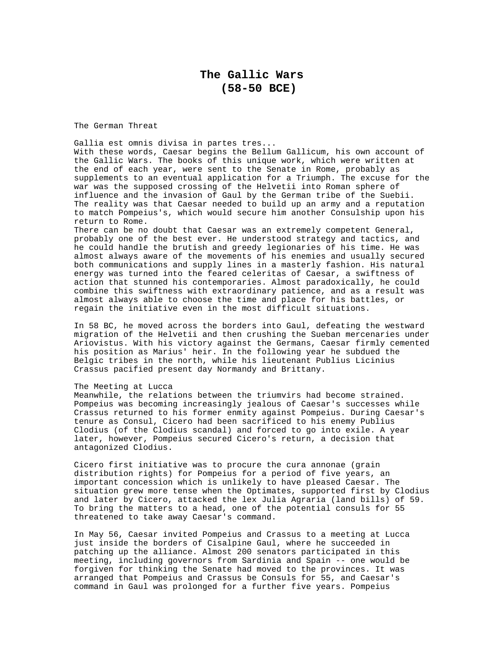The German Threat

Gallia est omnis divisa in partes tres... With these words, Caesar begins the Bellum Gallicum, his own account of the Gallic Wars. The books of this unique work, which were written at the end of each year, were sent to the Senate in Rome, probably as supplements to an eventual application for a Triumph. The excuse for the war was the supposed crossing of the Helvetii into Roman sphere of influence and the invasion of Gaul by the German tribe of the Suebii. The reality was that Caesar needed to build up an army and a reputation to match Pompeius's, which would secure him another Consulship upon his return to Rome.

There can be no doubt that Caesar was an extremely competent General, probably one of the best ever. He understood strategy and tactics, and he could handle the brutish and greedy legionaries of his time. He was almost always aware of the movements of his enemies and usually secured both communications and supply lines in a masterly fashion. His natural energy was turned into the feared celeritas of Caesar, a swiftness of action that stunned his contemporaries. Almost paradoxically, he could combine this swiftness with extraordinary patience, and as a result was almost always able to choose the time and place for his battles, or regain the initiative even in the most difficult situations.

In 58 BC, he moved across the borders into Gaul, defeating the westward migration of the Helvetii and then crushing the Sueban mercenaries under Ariovistus. With his victory against the Germans, Caesar firmly cemented his position as Marius' heir. In the following year he subdued the Belgic tribes in the north, while his lieutenant Publius Licinius Crassus pacified present day Normandy and Brittany.

## The Meeting at Lucca

Meanwhile, the relations between the triumvirs had become strained. Pompeius was becoming increasingly jealous of Caesar's successes while Crassus returned to his former enmity against Pompeius. During Caesar's tenure as Consul, Cicero had been sacrificed to his enemy Publius Clodius (of the Clodius scandal) and forced to go into exile. A year later, however, Pompeius secured Cicero's return, a decision that antagonized Clodius.

Cicero first initiative was to procure the cura annonae (grain distribution rights) for Pompeius for a period of five years, an important concession which is unlikely to have pleased Caesar. The situation grew more tense when the Optimates, supported first by Clodius and later by Cicero, attacked the lex Julia Agraria (land bills) of 59. To bring the matters to a head, one of the potential consuls for 55 threatened to take away Caesar's command.

In May 56, Caesar invited Pompeius and Crassus to a meeting at Lucca just inside the borders of Cisalpine Gaul, where he succeeded in patching up the alliance. Almost 200 senators participated in this meeting, including governors from Sardinia and Spain -- one would be forgiven for thinking the Senate had moved to the provinces. It was arranged that Pompeius and Crassus be Consuls for 55, and Caesar's command in Gaul was prolonged for a further five years. Pompeius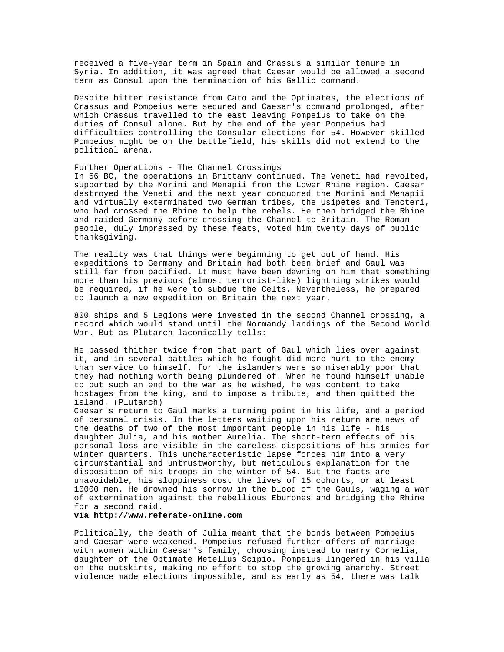received a five-year term in Spain and Crassus a similar tenure in Syria. In addition, it was agreed that Caesar would be allowed a second term as Consul upon the termination of his Gallic command.

Despite bitter resistance from Cato and the Optimates, the elections of Crassus and Pompeius were secured and Caesar's command prolonged, after which Crassus travelled to the east leaving Pompeius to take on the duties of Consul alone. But by the end of the year Pompeius had difficulties controlling the Consular elections for 54. However skilled Pompeius might be on the battlefield, his skills did not extend to the political arena.

## Further Operations - The Channel Crossings

In 56 BC, the operations in Brittany continued. The Veneti had revolted, supported by the Morini and Menapii from the Lower Rhine region. Caesar destroyed the Veneti and the next year conquored the Morini and Menapii and virtually exterminated two German tribes, the Usipetes and Tencteri, who had crossed the Rhine to help the rebels. He then bridged the Rhine and raided Germany before crossing the Channel to Britain. The Roman people, duly impressed by these feats, voted him twenty days of public thanksgiving.

The reality was that things were beginning to get out of hand. His expeditions to Germany and Britain had both been brief and Gaul was still far from pacified. It must have been dawning on him that something more than his previous (almost terrorist-like) lightning strikes would be required, if he were to subdue the Celts. Nevertheless, he prepared to launch a new expedition on Britain the next year.

800 ships and 5 Legions were invested in the second Channel crossing, a record which would stand until the Normandy landings of the Second World War. But as Plutarch laconically tells:

He passed thither twice from that part of Gaul which lies over against it, and in several battles which he fought did more hurt to the enemy than service to himself, for the islanders were so miserably poor that they had nothing worth being plundered of. When he found himself unable to put such an end to the war as he wished, he was content to take hostages from the king, and to impose a tribute, and then quitted the island. (Plutarch)

Caesar's return to Gaul marks a turning point in his life, and a period of personal crisis. In the letters waiting upon his return are news of the deaths of two of the most important people in his life - his daughter Julia, and his mother Aurelia. The short-term effects of his personal loss are visible in the careless dispositions of his armies for winter quarters. This uncharacteristic lapse forces him into a very circumstantial and untrustworthy, but meticulous explanation for the disposition of his troops in the winter of 54. But the facts are unavoidable, his sloppiness cost the lives of 15 cohorts, or at least 10000 men. He drowned his sorrow in the blood of the Gauls, waging a war of extermination against the rebellious Eburones and bridging the Rhine for a second raid.

## **via http://www.referate-online.com**

Politically, the death of Julia meant that the bonds between Pompeius and Caesar were weakened. Pompeius refused further offers of marriage with women within Caesar's family, choosing instead to marry Cornelia, daughter of the Optimate Metellus Scipio. Pompeius lingered in his villa on the outskirts, making no effort to stop the growing anarchy. Street violence made elections impossible, and as early as 54, there was talk